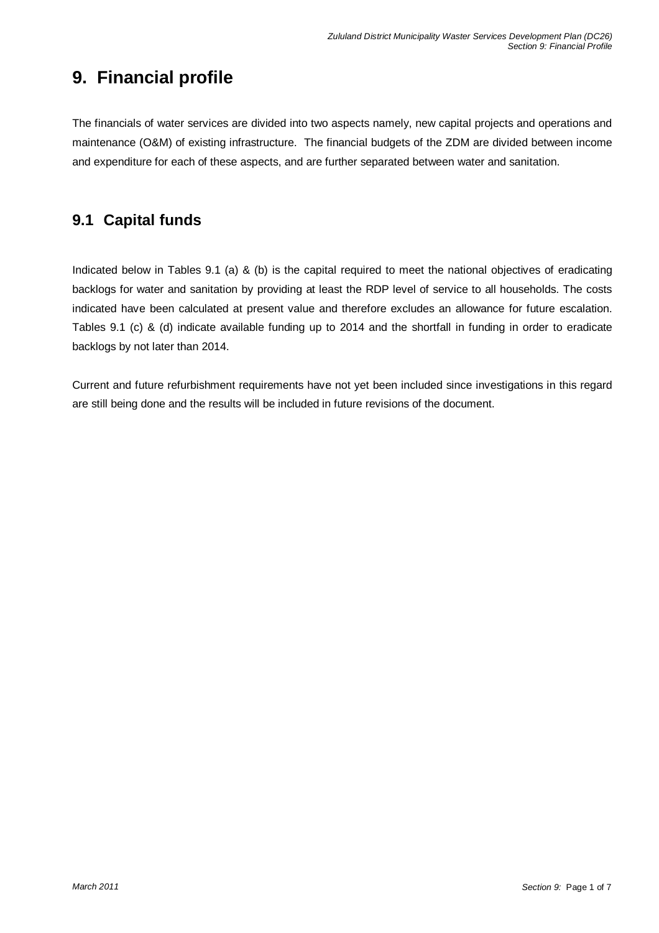# **9. Financial profile**

The financials of water services are divided into two aspects namely, new capital projects and operations and maintenance (O&M) of existing infrastructure. The financial budgets of the ZDM are divided between income and expenditure for each of these aspects, and are further separated between water and sanitation.

# **9.1 Capital funds**

Indicated below in Tables 9.1 (a) & (b) is the capital required to meet the national objectives of eradicating backlogs for water and sanitation by providing at least the RDP level of service to all households. The costs indicated have been calculated at present value and therefore excludes an allowance for future escalation. Tables 9.1 (c) & (d) indicate available funding up to 2014 and the shortfall in funding in order to eradicate backlogs by not later than 2014.

Current and future refurbishment requirements have not yet been included since investigations in this regard are still being done and the results will be included in future revisions of the document.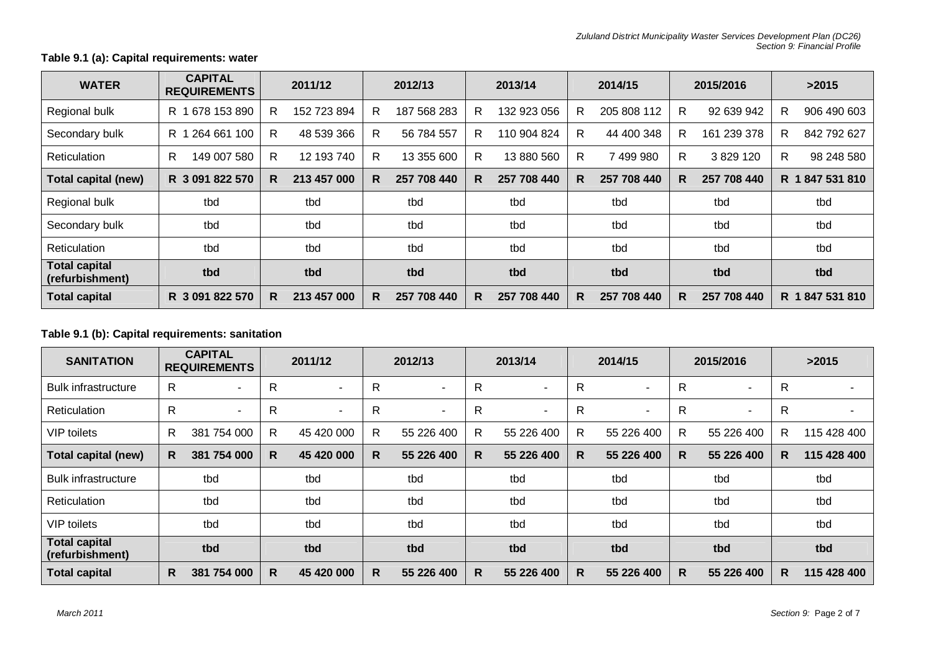### **Table 9.1 (a): Capital requirements: water**

| <b>WATER</b>                            | <b>CAPITAL</b><br><b>REQUIREMENTS</b> | 2011/12           | 2012/13           | 2013/14           | 2014/15          | 2015/2016        | >2015             |
|-----------------------------------------|---------------------------------------|-------------------|-------------------|-------------------|------------------|------------------|-------------------|
| Regional bulk                           | 678 153 890<br>R.                     | 152 723 894<br>R. | 187 568 283<br>R. | 132 923 056<br>R. | 205 808 112<br>R | R<br>92 639 942  | 906 490 603<br>R. |
| Secondary bulk                          | 264 661 100<br>R 1                    | R.<br>48 539 366  | R<br>56 784 557   | R.<br>110 904 824 | R<br>44 400 348  | R<br>161 239 378 | R<br>842 792 627  |
| Reticulation                            | R.<br>149 007 580                     | 12 193 740<br>R.  | 13 355 600<br>R.  | R.<br>13 880 560  | 7 499 980<br>R   | R<br>3 829 120   | 98 248 580<br>R.  |
| <b>Total capital (new)</b>              | R 3 091 822 570                       | 213 457 000<br>R. | 257 708 440<br>R. | R.<br>257 708 440 | R<br>257 708 440 | 257 708 440<br>R | R 1847 531 810    |
| Regional bulk                           | tbd                                   | tbd               | tbd               | tbd               | tbd              | tbd              | tbd               |
| Secondary bulk                          | tbd                                   | tbd               | tbd               | tbd               | tbd              | tbd              | tbd               |
| <b>Reticulation</b>                     | tbd                                   | tbd               | tbd               | tbd               | tbd              | tbd              | tbd               |
| <b>Total capital</b><br>(refurbishment) | tbd                                   | tbd               | tbd               | tbd               | tbd              | tbd              | tbd               |
| <b>Total capital</b>                    | R 3 091 822 570                       | 213 457 000<br>R. | 257 708 440<br>R. | 257 708 440<br>R. | 257 708 440<br>R | 257 708 440<br>R | R 1847 531 810    |

### **Table 9.1 (b): Capital requirements: sanitation**

| <b>SANITATION</b>                       |              | <b>CAPITAL</b><br><b>REQUIREMENTS</b> |              | 2011/12        |              | 2012/13                  |              | 2013/14                  |              | 2014/15    |              | 2015/2016                |    | >2015       |  |
|-----------------------------------------|--------------|---------------------------------------|--------------|----------------|--------------|--------------------------|--------------|--------------------------|--------------|------------|--------------|--------------------------|----|-------------|--|
| <b>Bulk infrastructure</b>              | R            |                                       | $\mathsf{R}$ | $\blacksquare$ | R            | ٠                        | R            | $\overline{\phantom{0}}$ | $\mathsf{R}$ | ٠          | R            |                          | R  |             |  |
| Reticulation                            | $\mathsf{R}$ | $\overline{\phantom{a}}$              | $\mathsf{R}$ | $\sim$         | $\mathsf{R}$ | $\overline{\phantom{a}}$ | $\mathsf{R}$ | $\sim$                   | $\mathsf{R}$ | ٠          | $\mathsf{R}$ | $\overline{\phantom{a}}$ | R  |             |  |
| <b>VIP</b> toilets                      | R            | 381<br>754 000                        | R.           | 45 420 000     | R            | 55 226 400               | R            | 55 226 400               | $\mathsf{R}$ | 55 226 400 | R            | 55 226 400               | R  | 115 428 400 |  |
| <b>Total capital (new)</b>              | R.           | 381 754 000                           | R.           | 45 420 000     | R.           | 55 226 400               | R            | 55 226 400               | R            | 55 226 400 | R            | 55 226 400               | R  | 115 428 400 |  |
| <b>Bulk infrastructure</b>              |              | tbd                                   |              | tbd            |              | tbd                      |              | tbd                      |              | tbd        |              | tbd                      |    | tbd         |  |
| Reticulation                            |              | tbd                                   |              | tbd            | tbd          |                          | tbd          |                          |              | tbd        |              | tbd                      |    | tbd         |  |
| <b>VIP</b> toilets                      |              | tbd                                   |              | tbd            |              | tbd                      |              | tbd                      |              | tbd        |              | tbd                      |    | tbd         |  |
| <b>Total capital</b><br>(refurbishment) |              | tbd                                   |              | tbd            |              | tbd                      |              | tbd                      |              | tbd        |              | tbd                      |    | tbd         |  |
| <b>Total capital</b>                    | R            | 381 754 000                           | R.           | 45 420 000     | R.           | 55 226 400               | R            | 55 226 400               | R            | 55 226 400 | R            | 55 226 400               | R. | 115 428 400 |  |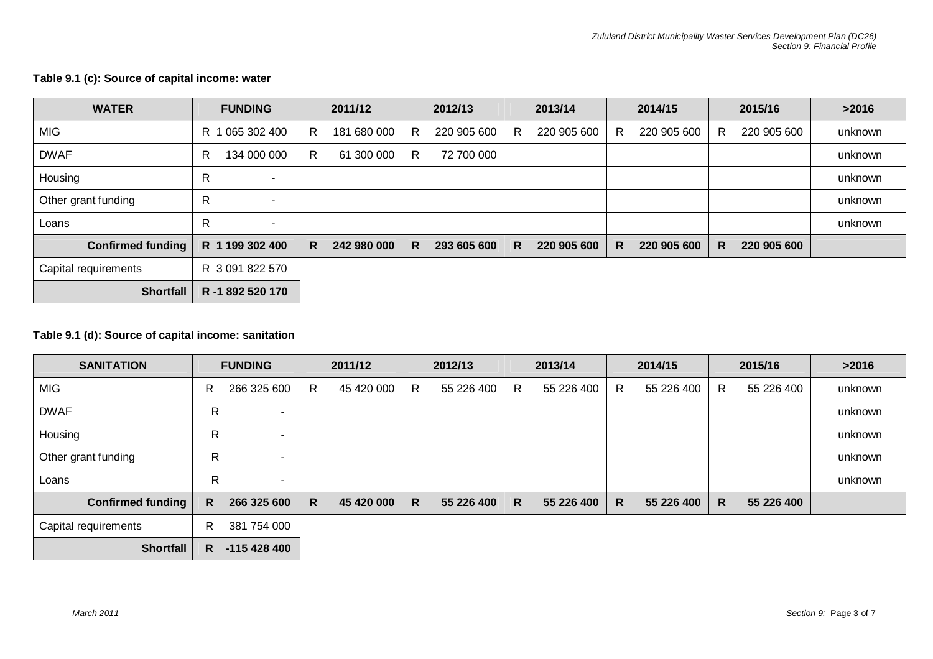| <b>WATER</b>             | <b>FUNDING</b>                | 2011/12           | 2012/13           | 2013/14          | 2014/15           | 2015/16           | >2016   |
|--------------------------|-------------------------------|-------------------|-------------------|------------------|-------------------|-------------------|---------|
| <b>MIG</b>               | 065 302 400<br>R 1            | 181 680 000<br>R. | 220 905 600<br>R. | R<br>220 905 600 | 220 905 600<br>R. | 220 905 600<br>R. | unknown |
| <b>DWAF</b>              | 134 000 000<br>R.             | R<br>61 300 000   | 72 700 000<br>R.  |                  |                   |                   | unknown |
| Housing                  | R<br>$\overline{\phantom{a}}$ |                   |                   |                  |                   |                   | unknown |
| Other grant funding      | R<br>$\overline{\phantom{a}}$ |                   |                   |                  |                   |                   | unknown |
| Loans                    | R<br>$\overline{\phantom{a}}$ |                   |                   |                  |                   |                   | unknown |
| <b>Confirmed funding</b> | R 1 199 302 400               | 242 980 000<br>R. | 293 605 600<br>R  | 220 905 600<br>R | 220 905 600<br>R  | 220 905 600<br>R  |         |
| Capital requirements     | R 3 091 822 570               |                   |                   |                  |                   |                   |         |
| <b>Shortfall</b>         | R -1 892 520 170              |                   |                   |                  |                   |                   |         |

### **Table 9.1 (c): Source of capital income: water**

### **Table 9.1 (d): Source of capital income: sanitation**

| <b>SANITATION</b>        | <b>FUNDING</b> |              |    | 2011/12    |   | 2012/13    |   | 2013/14    |   | 2014/15    |    | 2015/16    | >2016   |
|--------------------------|----------------|--------------|----|------------|---|------------|---|------------|---|------------|----|------------|---------|
| <b>MIG</b>               | R              | 266 325 600  | R. | 45 420 000 | R | 55 226 400 | R | 55 226 400 | R | 55 226 400 | R  | 55 226 400 | unknown |
| <b>DWAF</b>              | R              | $\sim$       |    |            |   |            |   |            |   |            |    |            | unknown |
| Housing                  | R              | $\sim$       |    |            |   |            |   |            |   |            |    |            | unknown |
| Other grant funding      | R              | ۰            |    |            |   |            |   |            |   |            |    |            | unknown |
| Loans                    | R              | ٠            |    |            |   |            |   |            |   |            |    |            | unknown |
| <b>Confirmed funding</b> | R.             | 266 325 600  | R  | 45 420 000 | R | 55 226 400 | R | 55 226 400 | R | 55 226 400 | R. | 55 226 400 |         |
| Capital requirements     | R.             | 381 754 000  |    |            |   |            |   |            |   |            |    |            |         |
| <b>Shortfall</b>         | R.             | $-115428400$ |    |            |   |            |   |            |   |            |    |            |         |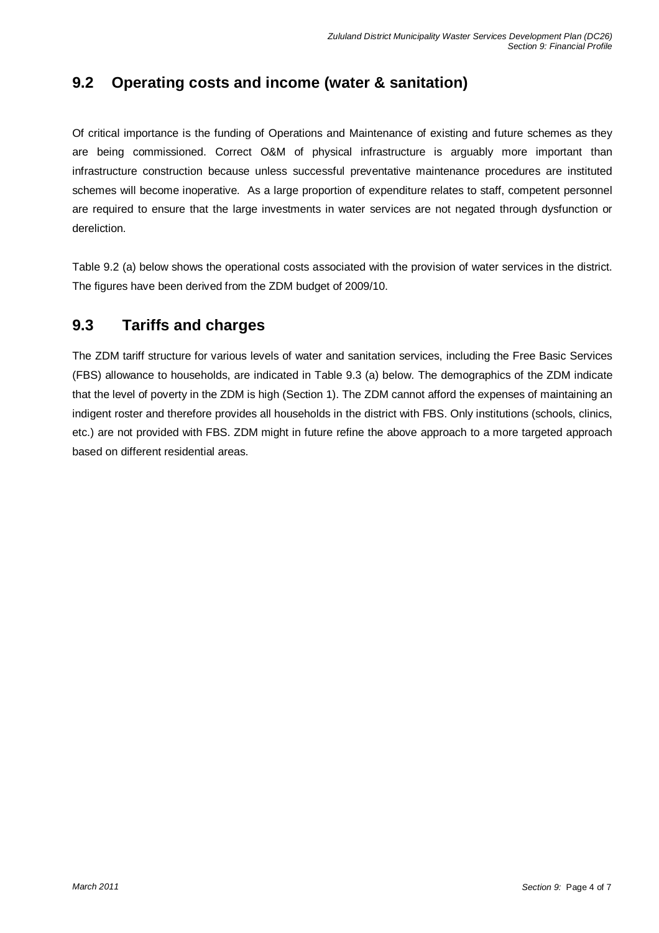# **9.2 Operating costs and income (water & sanitation)**

Of critical importance is the funding of Operations and Maintenance of existing and future schemes as they are being commissioned. Correct O&M of physical infrastructure is arguably more important than infrastructure construction because unless successful preventative maintenance procedures are instituted schemes will become inoperative. As a large proportion of expenditure relates to staff, competent personnel are required to ensure that the large investments in water services are not negated through dysfunction or dereliction.

Table 9.2 (a) below shows the operational costs associated with the provision of water services in the district. The figures have been derived from the ZDM budget of 2009/10.

### **9.3 Tariffs and charges**

The ZDM tariff structure for various levels of water and sanitation services, including the Free Basic Services (FBS) allowance to households, are indicated in Table 9.3 (a) below. The demographics of the ZDM indicate that the level of poverty in the ZDM is high (Section 1). The ZDM cannot afford the expenses of maintaining an indigent roster and therefore provides all households in the district with FBS. Only institutions (schools, clinics, etc.) are not provided with FBS. ZDM might in future refine the above approach to a more targeted approach based on different residential areas.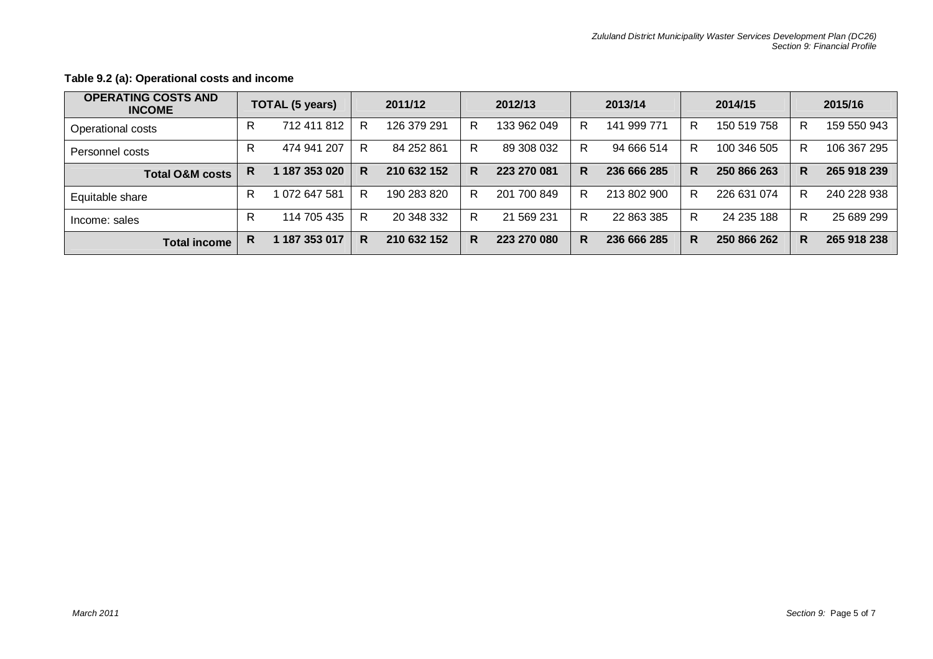| <b>OPERATING COSTS AND</b><br><b>INCOME</b> |   | <b>TOTAL (5 years)</b> |   | 2011/12     |   | 2012/13     |   | 2013/14     |   | 2014/15     |   | 2015/16     |
|---------------------------------------------|---|------------------------|---|-------------|---|-------------|---|-------------|---|-------------|---|-------------|
| Operational costs                           | R | 712 411 812            | R | 126 379 291 | R | 133 962 049 | R | 141 999 771 | R | 150 519 758 | R | 159 550 943 |
| Personnel costs                             | R | 474 941 207            | R | 84 252 861  | R | 89 308 032  | R | 94 666 514  | R | 100 346 505 | R | 106 367 295 |
| <b>Total O&amp;M costs</b>                  | R | 187 353 020            | R | 210 632 152 | R | 223 270 081 | R | 236 666 285 | R | 250 866 263 | R | 265 918 239 |
| Equitable share                             | R | 1 072 647 581          | R | 190 283 820 | R | 201 700 849 | R | 213 802 900 | R | 226 631 074 | R | 240 228 938 |
| Income: sales                               | R | 114 705 435            | R | 20 348 332  | R | 21 569 231  | R | 22 863 385  | R | 24 235 188  | R | 25 689 299  |
| <b>Total income</b>                         | R | 187 353 017            | R | 210 632 152 | R | 223 270 080 | R | 236 666 285 | R | 250 866 262 | R | 265 918 238 |

### **Table 9.2 (a): Operational costs and income**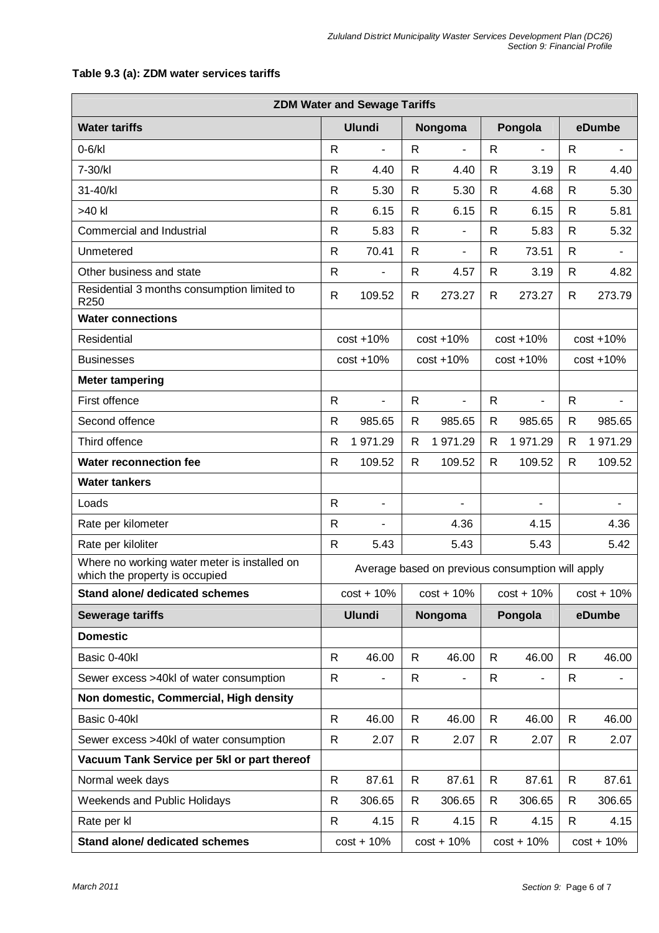| <b>ZDM Water and Sewage Tariffs</b>                                            |                                                  |                          |              |                          |              |                |              |              |  |  |  |  |
|--------------------------------------------------------------------------------|--------------------------------------------------|--------------------------|--------------|--------------------------|--------------|----------------|--------------|--------------|--|--|--|--|
| <b>Water tariffs</b>                                                           |                                                  | <b>Ulundi</b>            |              | Nongoma                  |              | Pongola        |              | eDumbe       |  |  |  |  |
| $0-6/kl$                                                                       | $\mathsf{R}$                                     | $\overline{\phantom{a}}$ | R            |                          | $\mathsf{R}$ | $\blacksquare$ | $\mathsf{R}$ |              |  |  |  |  |
| 7-30/kl                                                                        | $\mathsf{R}$                                     | 4.40                     | $\mathsf{R}$ | 4.40                     | R            | 3.19           | $\mathsf{R}$ | 4.40         |  |  |  |  |
| 31-40/kl                                                                       | $\mathsf{R}$                                     | 5.30                     | $\mathsf{R}$ | 5.30                     | R            | 4.68           | $\mathsf{R}$ | 5.30         |  |  |  |  |
| >40 kl                                                                         | $\mathsf{R}$                                     | 6.15                     | $\mathsf{R}$ | 6.15                     | $\mathsf{R}$ | 6.15           | $\mathsf{R}$ | 5.81         |  |  |  |  |
| Commercial and Industrial                                                      | $\mathsf{R}$                                     | 5.83                     | $\mathsf{R}$ | ä,                       | R            | 5.83           | $\mathsf{R}$ | 5.32         |  |  |  |  |
| Unmetered                                                                      | $\mathsf{R}$                                     | 70.41                    | $\mathsf{R}$ | $\overline{\phantom{0}}$ | R            | 73.51          | $\mathsf{R}$ | ä,           |  |  |  |  |
| Other business and state                                                       | $\mathsf{R}$                                     | ÷                        | $\mathsf{R}$ | 4.57                     | R            | 3.19           | $\mathsf{R}$ | 4.82         |  |  |  |  |
| Residential 3 months consumption limited to<br>R250                            | $\mathsf{R}$                                     | 109.52                   | R            | 273.27                   | R            | 273.27         | R            | 273.79       |  |  |  |  |
| <b>Water connections</b>                                                       |                                                  |                          |              |                          |              |                |              |              |  |  |  |  |
| Residential                                                                    |                                                  | $cost + 10%$             |              | $cost + 10%$             |              | $cost + 10%$   | $cost + 10%$ |              |  |  |  |  |
| <b>Businesses</b>                                                              |                                                  | $cost + 10%$             |              | $cost + 10%$             |              | $cost + 10%$   |              | $cost + 10%$ |  |  |  |  |
| <b>Meter tampering</b>                                                         |                                                  |                          |              |                          |              |                |              |              |  |  |  |  |
| First offence                                                                  | $\mathsf{R}$                                     | $\blacksquare$           | $\mathsf{R}$ | ÷,                       | $\mathsf{R}$ | L,             | $\mathsf{R}$ |              |  |  |  |  |
| Second offence                                                                 | $\mathsf{R}$                                     | 985.65                   | $\mathsf{R}$ | 985.65                   | R            | 985.65         | $\mathsf{R}$ | 985.65       |  |  |  |  |
| Third offence                                                                  | $\mathsf{R}$                                     | 1 971.29                 | R            | 1 971.29                 | R            | 1 971.29       | $\mathsf{R}$ | 1 971.29     |  |  |  |  |
| <b>Water reconnection fee</b>                                                  | $\mathsf{R}$                                     | 109.52                   | R            | 109.52                   | R            | 109.52         | $\mathsf{R}$ | 109.52       |  |  |  |  |
| <b>Water tankers</b>                                                           |                                                  |                          |              |                          |              |                |              |              |  |  |  |  |
| Loads                                                                          | $\mathsf{R}$                                     | ٠                        |              | -                        |              |                |              |              |  |  |  |  |
| Rate per kilometer                                                             | $\mathsf{R}$                                     | ٠                        |              | 4.36                     |              | 4.15           |              | 4.36         |  |  |  |  |
| Rate per kiloliter                                                             | $\mathsf{R}$                                     | 5.43                     |              | 5.43                     |              | 5.43           |              | 5.42         |  |  |  |  |
| Where no working water meter is installed on<br>which the property is occupied | Average based on previous consumption will apply |                          |              |                          |              |                |              |              |  |  |  |  |
| <b>Stand alone/ dedicated schemes</b>                                          |                                                  | $cost + 10%$             |              | $cost + 10%$             |              | $cost + 10%$   | $cost + 10%$ |              |  |  |  |  |
| <b>Sewerage tariffs</b>                                                        |                                                  | <b>Ulundi</b>            |              | Nongoma                  |              | Pongola        |              | eDumbe       |  |  |  |  |
| <b>Domestic</b>                                                                |                                                  |                          |              |                          |              |                |              |              |  |  |  |  |
| Basic 0-40kl                                                                   | $\mathsf{R}$                                     | 46.00                    | R            | 46.00                    | $\mathsf{R}$ | 46.00          | $\mathsf{R}$ | 46.00        |  |  |  |  |
| Sewer excess >40kl of water consumption                                        | $\mathsf{R}$                                     |                          | R            | ٠                        | R            | $\frac{1}{2}$  | R            |              |  |  |  |  |
| Non domestic, Commercial, High density                                         |                                                  |                          |              |                          |              |                |              |              |  |  |  |  |
| Basic 0-40kl                                                                   | $\mathsf{R}$                                     | 46.00                    | $\mathsf{R}$ | 46.00                    | $\mathsf{R}$ | 46.00          | $\mathsf{R}$ | 46.00        |  |  |  |  |
| Sewer excess >40kl of water consumption                                        | $\mathsf{R}$                                     | 2.07                     | R            | 2.07                     | $\mathsf{R}$ | 2.07           | R            | 2.07         |  |  |  |  |
| Vacuum Tank Service per 5kl or part thereof                                    |                                                  |                          |              |                          |              |                |              |              |  |  |  |  |
| Normal week days                                                               | $\mathsf{R}$                                     | 87.61                    | $\mathsf{R}$ | 87.61                    | $\mathsf{R}$ | 87.61          | $\mathsf{R}$ | 87.61        |  |  |  |  |
| <b>Weekends and Public Holidays</b>                                            | R                                                | 306.65                   | R            | 306.65                   | R            | 306.65         | R            | 306.65       |  |  |  |  |
| Rate per kl                                                                    | $\mathsf{R}$                                     | 4.15                     | R            | 4.15                     | R            | 4.15           | R            | 4.15         |  |  |  |  |
| Stand alone/ dedicated schemes                                                 |                                                  | $cost + 10%$             |              | $cost + 10%$             |              | $cost + 10%$   | $cost + 10%$ |              |  |  |  |  |

### **Table 9.3 (a): ZDM water services tariffs**